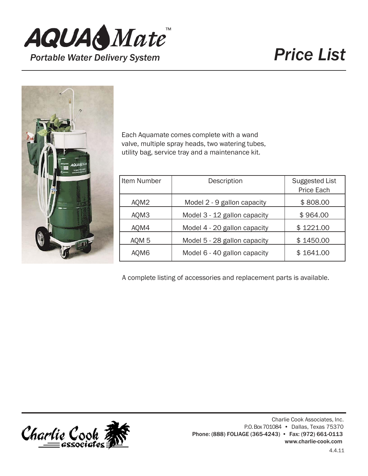



Each Aquamate comes complete with a wand valve, multiple spray heads, two watering tubes, utility bag, service tray and a maintenance kit.

| Item Number      | Description                  | <b>Suggested List</b><br>Price Each |
|------------------|------------------------------|-------------------------------------|
| AQM2             | Model 2 - 9 gallon capacity  | \$808.00                            |
| AQM3             | Model 3 - 12 gallon capacity | \$964.00                            |
| AQM4             | Model 4 - 20 gallon capacity | \$1221.00                           |
| AQM <sub>5</sub> | Model 5 - 28 gallon capacity | \$1450.00                           |
| AQM6             | Model 6 - 40 gallon capacity | \$1641.00                           |

A complete listing of accessories and replacement parts is available.

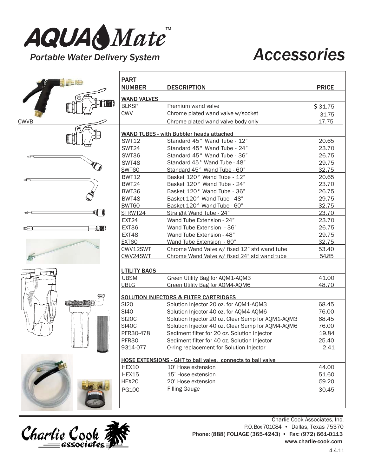

## *Portable Water Delivery System Accessories*



|                | <b>PART</b><br><b>NUMBER</b>                      | <b>DESCRIPTION</b>                                                 | <b>PRICE</b> |  |
|----------------|---------------------------------------------------|--------------------------------------------------------------------|--------------|--|
|                | <b>WAND VALVES</b>                                |                                                                    |              |  |
|                | <b>BLKSP</b>                                      | Premium wand valve                                                 | \$31.75      |  |
|                | <b>CWV</b>                                        | Chrome plated wand valve w/socket                                  | 31.75        |  |
| <b>CWVB</b>    |                                                   | Chrome plated wand valve body only                                 | 17.75        |  |
|                |                                                   |                                                                    |              |  |
|                |                                                   | <b>WAND TUBES - with Bubbler heads attached</b>                    |              |  |
|                | <b>SWT12</b>                                      | Standard 45° Wand Tube - 12"                                       | 20.65        |  |
|                | <b>SWT24</b>                                      | Standard 45° Wand Tube - 24"                                       | 23.70        |  |
| #8             | <b>SWT36</b>                                      | Standard 45° Wand Tube - 36"                                       | 26.75        |  |
|                | <b>SWT48</b>                                      | Standard 45° Wand Tube - 48"                                       | 29.75        |  |
|                | <b>SWT60</b>                                      | Standard 45° Wand Tube - 60"                                       | 32.75        |  |
| ≪⊟             | <b>BWT12</b>                                      | Basket 120° Wand Tube - 12"                                        | 20.65        |  |
|                | <b>BWT24</b>                                      | Basket 120° Wand Tube - 24"                                        | 23.70        |  |
|                | BWT36                                             | Basket 120° Wand Tube - 36"                                        | 26.75        |  |
|                | <b>BWT48</b>                                      | Basket 120° Wand Tube - 48"                                        | 29.75        |  |
|                | BWT60                                             | Basket 120° Wand Tube - 60"                                        | 32.75        |  |
| 10<br>¤⊟⊑      | STRWT24                                           | Straight Wand Tube - 24"                                           | 23.70        |  |
|                | EXT24                                             | Wand Tube Extension - 24"                                          | 23.70        |  |
| 门面<br>oc⊟      | EXT36                                             | Wand Tube Extension - 36"                                          | 26.75        |  |
|                | EXT48                                             | Wand Tube Extension - 48"                                          | 29.75        |  |
|                | <b>EXT60</b>                                      | Wand Tube Extension - 60"                                          | 32.75        |  |
|                | CWV12SWT                                          | Chrome Wand Valve w/ fixed 12" std wand tube                       | 53.40        |  |
|                | CWV24SWT                                          | Chrome Wand Valve w/ fixed 24" std wand tube                       | 54.85        |  |
|                | <b>UTILITY BAGS</b>                               |                                                                    |              |  |
|                | <b>UBSM</b>                                       | Green Utility Bag for AQM1-AQM3                                    | 41.00        |  |
|                | <b>UBLG</b>                                       | Green Utility Bag for AQM4-AQM6                                    | 48.70        |  |
|                | <b>SOLUTION INJECTORS &amp; FILTER CARTRIDGES</b> |                                                                    |              |  |
| <b>NAME OF</b> | <b>SI20</b>                                       | Solution Injector 20 oz. for AQM1-AQM3                             | 68.45        |  |
|                | <b>SI40</b>                                       | Solution Injector 40 oz. for AQM4-AQM6                             | 76.00        |  |
|                | <b>SI20C</b>                                      | Solution Injector 20 oz. Clear Sump for AQM1-AQM3                  | 68.45        |  |
|                | <b>SI40C</b>                                      | Solution Injector 40 oz. Clear Sump for AQM4-AQM6                  | 76.00        |  |
|                | PFR30-478                                         | Sediment filter for 20 oz. Solution Injector                       | 19.84        |  |
|                | PFR30                                             | Sediment filter for 40 oz. Solution Injector                       | 25.40        |  |
|                | 9314-077                                          | O-ring replacement for Solution Injector                           | 2.41         |  |
|                |                                                   | <b>HOSE EXTENSIONS - GHT to ball valve, connects to ball valve</b> |              |  |
|                | HEX10                                             | 10' Hose extension                                                 | 44.00        |  |
|                | HEX15                                             | 15' Hose extension                                                 | 51.60        |  |
|                | <b>HEX20</b>                                      | 20' Hose extension                                                 | 59.20        |  |
|                | PG100                                             | <b>Filling Gauge</b>                                               | 30.45        |  |



Charlie Cook Associates, Inc. P.O.Box701084 • Dallas, Texas 75370 Phone: (888) FOLIAGE (365-4243) • Fax: (972) 661-0113 [www.charlie-cook.com](http://www.charlie-cook.com/)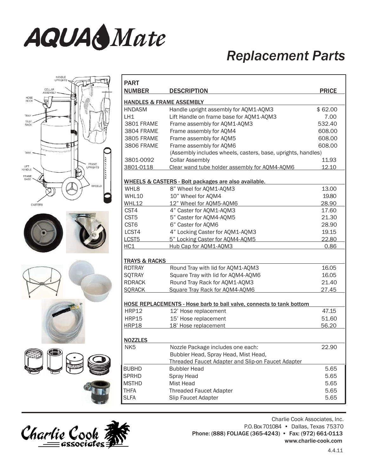

LIFT<br>HANDLE

### *Replacement Parts*

| <b>HANDLE</b><br>UPRIGHTS                                      | <b>PART</b>                                                                 |                                                    |              |  |  |
|----------------------------------------------------------------|-----------------------------------------------------------------------------|----------------------------------------------------|--------------|--|--|
| COLLAR<br>ASSEMBL                                              | <b>NUMBER</b>                                                               | <b>DESCRIPTION</b>                                 | <b>PRICE</b> |  |  |
| HOSE<br>HOOK<br><b>HANDLES &amp; FRAME ASSEMBLY</b>            |                                                                             |                                                    |              |  |  |
|                                                                | <b>HNDASM</b>                                                               | Handle upright assembly for AQM1-AQM3              | \$62.00      |  |  |
| TRAY                                                           | LH1                                                                         | Lift Handle on frame base for AQM1-AQM3            | 7.00         |  |  |
| TRAY<br>RACK                                                   | <b>3801 FRAME</b>                                                           | Frame assembly for AQM1-AQM3                       | 532.40       |  |  |
|                                                                | 3804 FRAME                                                                  | Frame assembly for AQM4                            | 608.00       |  |  |
|                                                                | 3805 FRAME                                                                  | Frame assembly for AQM5                            | 608.00       |  |  |
|                                                                | 3806 FRAME                                                                  | Frame assembly for AQM6                            | 608.00       |  |  |
| <b>TANK</b>                                                    | (Assembly includes wheels, casters, base, uprights, handles)                |                                                    |              |  |  |
|                                                                | 3801-0092                                                                   | <b>Collar Assembly</b>                             | 11.93        |  |  |
| FRAME<br>UPRIGHTS<br>LIFT<br><b>HANDLE</b>                     | 3801-0118                                                                   | Clear wand tube holder assembly for AQM4-AQM6      | 12.10        |  |  |
| H<br>FRAME<br><b>BASE</b>                                      |                                                                             |                                                    |              |  |  |
| WHEELS & CASTERS - Bolt packages are also available.<br>VHEELS |                                                                             |                                                    |              |  |  |
|                                                                | WHL8                                                                        | 8" Wheel for AQM1-AQM3                             | 13.00        |  |  |
|                                                                | WHL10                                                                       | 10" Wheel for AQM4                                 | 19.80        |  |  |
| CASTERS                                                        | WHL12                                                                       | 12" Wheel for AQM5-AQM6                            | 28.90        |  |  |
|                                                                | CST4                                                                        | 4" Caster for AQM1-AQM3                            | 17.60        |  |  |
|                                                                | CST <sub>5</sub>                                                            | 5" Caster for AQM4-AQM5                            | 21.30        |  |  |
|                                                                | CST <sub>6</sub>                                                            | 6" Caster for AQM6                                 | 28.90        |  |  |
|                                                                | LCST4                                                                       | 4" Locking Caster for AQM1-AQM3                    | 19.15        |  |  |
|                                                                | LCST5                                                                       | 5" Locking Caster for AQM4-AQM5                    | 22.80        |  |  |
|                                                                | HC1                                                                         | Hub Cap for AQM1-AQM3                              | 0.86         |  |  |
|                                                                | <b>TRAYS &amp; RACKS</b>                                                    |                                                    |              |  |  |
|                                                                | <b>RDTRAY</b>                                                               | Round Tray with lid for AQM1-AQM3                  | 16.05        |  |  |
|                                                                | <b>SQTRAY</b>                                                               | Square Tray with lid for AQM4-AQM6                 | 16.05        |  |  |
|                                                                | <b>RDRACK</b>                                                               | Round Tray Rack for AQM1-AQM3                      | 21.40        |  |  |
|                                                                | <b>SORACK</b>                                                               | Square Tray Rack for AQM4-AQM6                     | 27.45        |  |  |
|                                                                | <b>HOSE REPLACEMENTS - Hose barb to ball valve, connects to tank bottom</b> |                                                    |              |  |  |
|                                                                | <b>HRP12</b>                                                                | 12' Hose replacement                               | 47.15        |  |  |
|                                                                | <b>HRP15</b>                                                                | 15' Hose replacement                               | 51.60        |  |  |
|                                                                | <b>HRP18</b>                                                                | 18' Hose replacement                               | 56.20        |  |  |
|                                                                |                                                                             |                                                    |              |  |  |
|                                                                | <b>NOZZLES</b>                                                              |                                                    |              |  |  |
|                                                                | NK <sub>5</sub>                                                             | Nozzle Package includes one each:                  | 22.90        |  |  |
|                                                                |                                                                             | Bubbler Head, Spray Head, Mist Head,               |              |  |  |
|                                                                |                                                                             | Threaded Faucet Adapter and Slip-on Faucet Adapter |              |  |  |
|                                                                | <b>BUBHD</b>                                                                | <b>Bubbler Head</b>                                | 5.65         |  |  |
|                                                                | <b>SPRHD</b>                                                                | Spray Head                                         | 5.65         |  |  |
|                                                                | <b>MSTHD</b>                                                                | Mist Head                                          | 5.65         |  |  |
|                                                                | <b>THFA</b>                                                                 | <b>Threaded Faucet Adapter</b>                     | 5.65         |  |  |
|                                                                | <b>SLFA</b>                                                                 | Slip Faucet Adapter                                | 5.65         |  |  |
|                                                                |                                                                             |                                                    |              |  |  |



Charlie Cook Associates, Inc.

P.O.Box701084 • Dallas, Texas 75370 Phone: (888) FOLIAGE (365-4243) • Fax: (972) 661-0113 [www.charlie-cook.com](http://www.charlie-cook.com/)